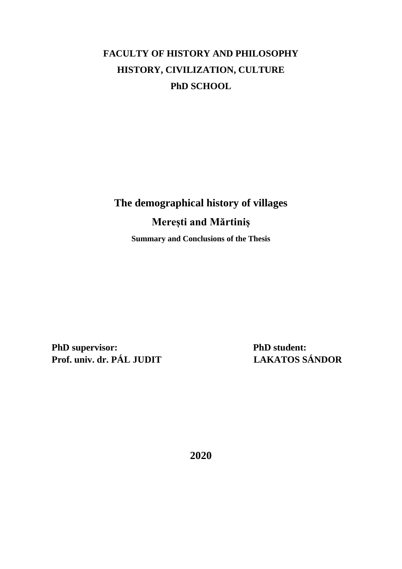# **FACULTY OF HISTORY AND PHILOSOPHY HISTORY, CIVILIZATION, CULTURE PhD SCHOOL**

# **The demographical history of villages Merești and Mărtiniș Summary and Conclusions of the Thesis**

**PhD supervisor:** PhD student: **Prof. univ. dr. PÁL JUDIT LAKATOS SÁNDOR**

**2020**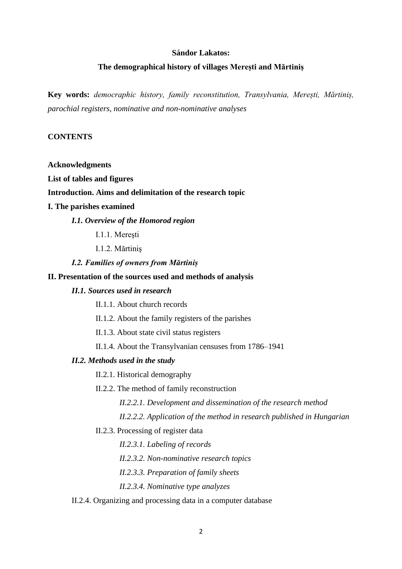#### **Sándor Lakatos:**

#### **The demographical history of villages Merești and Mărtiniș**

**Key words:** *democraphic history, family reconstitution, Transylvania, Merești, Mărtiniș, parochial registers, nominative and non-nominative analyses*

## **CONTENTS**

#### **Acknowledgments**

**List of tables and figures**

# **Introduction. Aims and delimitation of the research topic**

#### **I. The parishes examined**

### *I.1. Overview of the Homorod region*

I.1.1. Mereşti

I.1.2. Mărtiniş

#### *I.2. Families of owners from Mărtiniș*

#### **II. Presentation of the sources used and methods of analysis**

#### *II.1. Sources used in research*

II.1.1. About church records

II.1.2. About the family registers of the parishes

II.1.3. About state civil status registers

II.1.4. About the Transylvanian censuses from 1786–1941

#### *II.2. Methods used in the study*

II.2.1. Historical demography

II.2.2. The method of family reconstruction

*II.2.2.1. Development and dissemination of the research method*

*II.2.2.2. Application of the method in research published in Hungarian*

#### II.2.3. Processing of register data

*II.2.3.1. Labeling of records*

*II.2.3.2. Non-nominative research topics*

*II.2.3.3. Preparation of family sheets*

*II.2.3.4. Nominative type analyzes*

#### II.2.4. Organizing and processing data in a computer database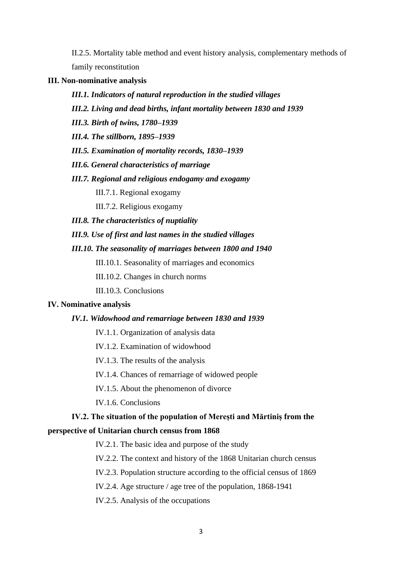II.2.5. Mortality table method and event history analysis, complementary methods of family reconstitution

**III. Non-nominative analysis**

- *III.1. Indicators of natural reproduction in the studied villages*
- *III.2. Living and dead births, infant mortality between 1830 and 1939*
- *III.3. Birth of twins, 1780–1939*
- *III.4. The stillborn, 1895–1939*
- *III.5. Examination of mortality records, 1830–1939*
- *III.6. General characteristics of marriage*
- *III.7. Regional and religious endogamy and exogamy*

III.7.1. Regional exogamy

III.7.2. Religious exogamy

- *III.8. The characteristics of nuptiality*
- *III.9. Use of first and last names in the studied villages*
- *III.10. The seasonality of marriages between 1800 and 1940*

III.10.1. Seasonality of marriages and economics

III.10.2. Changes in church norms

III.10.3. Conclusions

#### **IV. Nominative analysis**

#### *IV.1. Widowhood and remarriage between 1830 and 1939*

- IV.1.1. Organization of analysis data
- IV.1.2. Examination of widowhood
- IV.1.3. The results of the analysis

IV.1.4. Chances of remarriage of widowed people

IV.1.5. About the phenomenon of divorce

IV.1.6. Conclusions

# **IV.2. The situation of the population of Merești and Mărtiniș from the perspective of Unitarian church census from 1868**

IV.2.1. The basic idea and purpose of the study

IV.2.2. The context and history of the 1868 Unitarian church census

IV.2.3. Population structure according to the official census of 1869

IV.2.4. Age structure / age tree of the population, 1868-1941

IV.2.5. Analysis of the occupations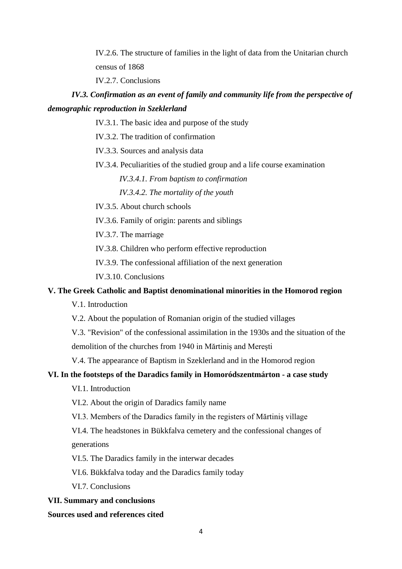IV.2.6. The structure of families in the light of data from the Unitarian church census of 1868

IV.2.7. Conclusions

# *IV.3. Confirmation as an event of family and community life from the perspective of demographic reproduction in Szeklerland*

- IV.3.1. The basic idea and purpose of the study
- IV.3.2. The tradition of confirmation
- IV.3.3. Sources and analysis data
- IV.3.4. Peculiarities of the studied group and a life course examination

*IV.3.4.1. From baptism to confirmation*

*IV.3.4.2. The mortality of the youth*

- IV.3.5. About church schools
- IV.3.6. Family of origin: parents and siblings

IV.3.7. The marriage

IV.3.8. Children who perform effective reproduction

IV.3.9. The confessional affiliation of the next generation

IV.3.10. Conclusions

# **V. The Greek Catholic and Baptist denominational minorities in the Homorod region**

V.1. Introduction

V.2. About the population of Romanian origin of the studied villages

V.3. "Revision" of the confessional assimilation in the 1930s and the situation of the demolition of the churches from 1940 in Mărtiniș and Merești

V.4. The appearance of Baptism in Szeklerland and in the Homorod region

# **VI. In the footsteps of the Daradics family in Homoródszentmárton - a case study**

VI.1. Introduction

VI.2. About the origin of Daradics family name

VI.3. Members of the Daradics family in the registers of Mărtiniș village

VI.4. The headstones in Bükkfalva cemetery and the confessional changes of generations

VI.5. The Daradics family in the interwar decades

VI.6. Bükkfalva today and the Daradics family today

VI.7. Conclusions

## **VII. Summary and conclusions**

## **Sources used and references cited**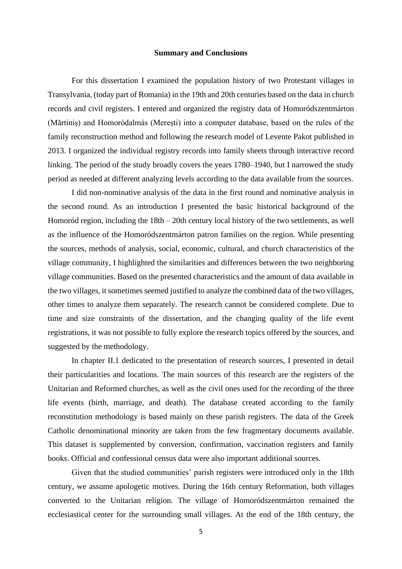#### **Summary and Conclusions**

For this dissertation I examined the population history of two Protestant villages in Transylvania, (today part of Romania) in the 19th and 20th centuries based on the data in church records and civil registers. I entered and organized the registry data of Homoródszentmárton (Mărtiniș) and Homoródalmás (Merești) into a computer database, based on the rules of the family reconstruction method and following the research model of Levente Pakot published in 2013. I organized the individual registry records into family sheets through interactive record linking. The period of the study broadly covers the years 1780–1940, but I narrowed the study period as needed at different analyzing levels according to the data available from the sources.

I did non-nominative analysis of the data in the first round and nominative analysis in the second round. As an introduction I presented the basic historical background of the Homoród region, including the 18th – 20th century local history of the two settlements, as well as the influence of the Homoródszentmárton patron families on the region. While presenting the sources, methods of analysis, social, economic, cultural, and church characteristics of the village community, I highlighted the similarities and differences between the two neighboring village communities. Based on the presented characteristics and the amount of data available in the two villages, it sometimes seemed justified to analyze the combined data of the two villages, other times to analyze them separately. The research cannot be considered complete. Due to time and size constraints of the dissertation, and the changing quality of the life event registrations, it was not possible to fully explore the research topics offered by the sources, and suggested by the methodology.

In chapter II.1 dedicated to the presentation of research sources, I presented in detail their particularities and locations. The main sources of this research are the registers of the Unitarian and Reformed churches, as well as the civil ones used for the recording of the three life events (birth, marriage, and death). The database created according to the family reconstitution methodology is based mainly on these parish registers. The data of the Greek Catholic denominational minority are taken from the few fragmentary documents available. This dataset is supplemented by conversion, confirmation, vaccination registers and family books. Official and confessional census data were also important additional sources.

Given that the studied communities' parish registers were introduced only in the 18th century, we assume apologetic motives. During the 16th century Reformation, both villages converted to the Unitarian religion. The village of Homoródszentmárton remained the ecclesiastical center for the surrounding small villages. At the end of the 18th century, the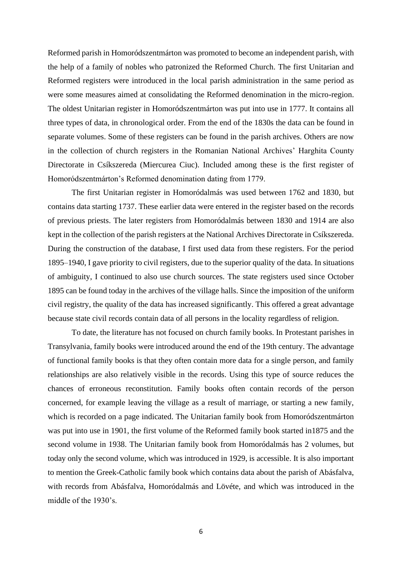Reformed parish in Homoródszentmárton was promoted to become an independent parish, with the help of a family of nobles who patronized the Reformed Church. The first Unitarian and Reformed registers were introduced in the local parish administration in the same period as were some measures aimed at consolidating the Reformed denomination in the micro-region. The oldest Unitarian register in Homoródszentmárton was put into use in 1777. It contains all three types of data, in chronological order. From the end of the 1830s the data can be found in separate volumes. Some of these registers can be found in the parish archives. Others are now in the collection of church registers in the Romanian National Archives' Harghita County Directorate in Csíkszereda (Miercurea Ciuc). Included among these is the first register of Homoródszentmárton's Reformed denomination dating from 1779.

The first Unitarian register in Homoródalmás was used between 1762 and 1830, but contains data starting 1737. These earlier data were entered in the register based on the records of previous priests. The later registers from Homoródalmás between 1830 and 1914 are also kept in the collection of the parish registers at the National Archives Directorate in Csíkszereda. During the construction of the database, I first used data from these registers. For the period 1895–1940, I gave priority to civil registers, due to the superior quality of the data. In situations of ambiguity, I continued to also use church sources. The state registers used since October 1895 can be found today in the archives of the village halls. Since the imposition of the uniform civil registry, the quality of the data has increased significantly. This offered a great advantage because state civil records contain data of all persons in the locality regardless of religion.

To date, the literature has not focused on church family books. In Protestant parishes in Transylvania, family books were introduced around the end of the 19th century. The advantage of functional family books is that they often contain more data for a single person, and family relationships are also relatively visible in the records. Using this type of source reduces the chances of erroneous reconstitution. Family books often contain records of the person concerned, for example leaving the village as a result of marriage, or starting a new family, which is recorded on a page indicated. The Unitarian family book from Homoródszentmárton was put into use in 1901, the first volume of the Reformed family book started in1875 and the second volume in 1938. The Unitarian family book from Homoródalmás has 2 volumes, but today only the second volume, which was introduced in 1929, is accessible. It is also important to mention the Greek-Catholic family book which contains data about the parish of Abásfalva, with records from Abásfalva, Homoródalmás and Lövéte, and which was introduced in the middle of the 1930's.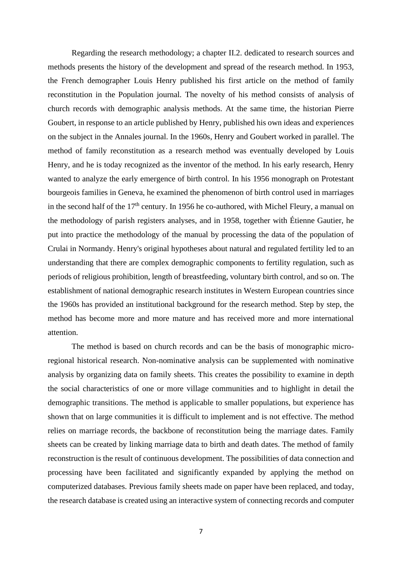Regarding the research methodology; a chapter II.2. dedicated to research sources and methods presents the history of the development and spread of the research method. In 1953, the French demographer Louis Henry published his first article on the method of family reconstitution in the Population journal. The novelty of his method consists of analysis of church records with demographic analysis methods. At the same time, the historian Pierre Goubert, in response to an article published by Henry, published his own ideas and experiences on the subject in the Annales journal. In the 1960s, Henry and Goubert worked in parallel. The method of family reconstitution as a research method was eventually developed by Louis Henry, and he is today recognized as the inventor of the method. In his early research, Henry wanted to analyze the early emergence of birth control. In his 1956 monograph on Protestant bourgeois families in Geneva, he examined the phenomenon of birth control used in marriages in the second half of the  $17<sup>th</sup>$  century. In 1956 he co-authored, with Michel Fleury, a manual on the methodology of parish registers analyses, and in 1958, together with Étienne Gautier, he put into practice the methodology of the manual by processing the data of the population of Crulai in Normandy. Henry's original hypotheses about natural and regulated fertility led to an understanding that there are complex demographic components to fertility regulation, such as periods of religious prohibition, length of breastfeeding, voluntary birth control, and so on. The establishment of national demographic research institutes in Western European countries since the 1960s has provided an institutional background for the research method. Step by step, the method has become more and more mature and has received more and more international attention.

The method is based on church records and can be the basis of monographic microregional historical research. Non-nominative analysis can be supplemented with nominative analysis by organizing data on family sheets. This creates the possibility to examine in depth the social characteristics of one or more village communities and to highlight in detail the demographic transitions. The method is applicable to smaller populations, but experience has shown that on large communities it is difficult to implement and is not effective. The method relies on marriage records, the backbone of reconstitution being the marriage dates. Family sheets can be created by linking marriage data to birth and death dates. The method of family reconstruction is the result of continuous development. The possibilities of data connection and processing have been facilitated and significantly expanded by applying the method on computerized databases. Previous family sheets made on paper have been replaced, and today, the research database is created using an interactive system of connecting records and computer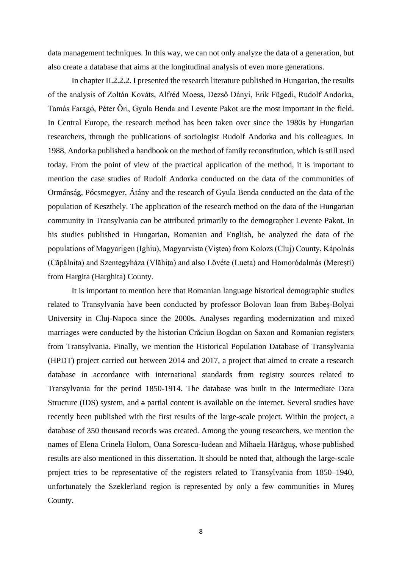data management techniques. In this way, we can not only analyze the data of a generation, but also create a database that aims at the longitudinal analysis of even more generations.

In chapter II.2.2.2. I presented the research literature published in Hungarian, the results of the analysis of Zoltán Kováts, Alfréd Moess, Dezső Dányi, Erik Fügedi, Rudolf Andorka, Tamás Faragó, Péter Őri, Gyula Benda and Levente Pakot are the most important in the field. In Central Europe, the research method has been taken over since the 1980s by Hungarian researchers, through the publications of sociologist Rudolf Andorka and his colleagues. In 1988, Andorka published a handbook on the method of family reconstitution, which is still used today. From the point of view of the practical application of the method, it is important to mention the case studies of Rudolf Andorka conducted on the data of the communities of Ormánság, Pócsmegyer, Átány and the research of Gyula Benda conducted on the data of the population of Keszthely. The application of the research method on the data of the Hungarian community in Transylvania can be attributed primarily to the demographer Levente Pakot. In his studies published in Hungarian, Romanian and English, he analyzed the data of the populations of Magyarigen (Ighiu), Magyarvista (Viştea) from Kolozs (Cluj) County, Kápolnás (Căpâlnița) and Szentegyháza (Vlăhița) and also Lövéte (Lueta) and Homoródalmás (Merești) from Hargita (Harghita) County.

It is important to mention here that Romanian language historical demographic studies related to Transylvania have been conducted by professor Bolovan Ioan from Babeș-Bolyai University in Cluj-Napoca since the 2000s. Analyses regarding modernization and mixed marriages were conducted by the historian Crăciun Bogdan on Saxon and Romanian registers from Transylvania. Finally, we mention the Historical Population Database of Transylvania (HPDT) project carried out between 2014 and 2017, a project that aimed to create a research database in accordance with international standards from registry sources related to Transylvania for the period 1850-1914. The database was built in the Intermediate Data Structure (IDS) system, and a partial content is available on the internet. Several studies have recently been published with the first results of the large-scale project. Within the project, a database of 350 thousand records was created. Among the young researchers, we mention the names of Elena Crinela Holom, Oana Sorescu-Iudean and Mihaela Hărăguș, whose published results are also mentioned in this dissertation. It should be noted that, although the large-scale project tries to be representative of the registers related to Transylvania from 1850–1940, unfortunately the Szeklerland region is represented by only a few communities in Mureș County.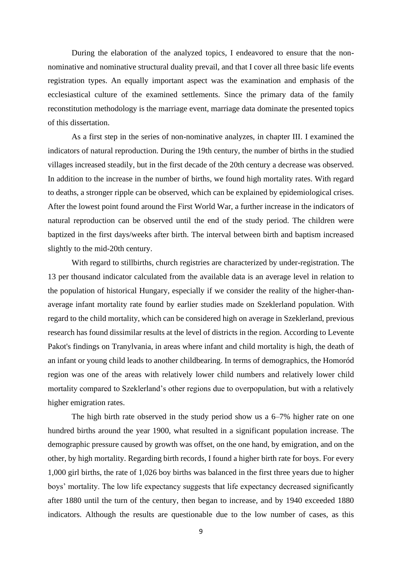During the elaboration of the analyzed topics, I endeavored to ensure that the nonnominative and nominative structural duality prevail, and that I cover all three basic life events registration types. An equally important aspect was the examination and emphasis of the ecclesiastical culture of the examined settlements. Since the primary data of the family reconstitution methodology is the marriage event, marriage data dominate the presented topics of this dissertation.

As a first step in the series of non-nominative analyzes, in chapter III. I examined the indicators of natural reproduction. During the 19th century, the number of births in the studied villages increased steadily, but in the first decade of the 20th century a decrease was observed. In addition to the increase in the number of births, we found high mortality rates. With regard to deaths, a stronger ripple can be observed, which can be explained by epidemiological crises. After the lowest point found around the First World War, a further increase in the indicators of natural reproduction can be observed until the end of the study period. The children were baptized in the first days/weeks after birth. The interval between birth and baptism increased slightly to the mid-20th century.

With regard to stillbirths, church registries are characterized by under-registration. The 13 per thousand indicator calculated from the available data is an average level in relation to the population of historical Hungary, especially if we consider the reality of the higher-thanaverage infant mortality rate found by earlier studies made on Szeklerland population. With regard to the child mortality, which can be considered high on average in Szeklerland, previous research has found dissimilar results at the level of districts in the region. According to Levente Pakot's findings on Tranylvania, in areas where infant and child mortality is high, the death of an infant or young child leads to another childbearing. In terms of demographics, the Homoród region was one of the areas with relatively lower child numbers and relatively lower child mortality compared to Szeklerland's other regions due to overpopulation, but with a relatively higher emigration rates.

The high birth rate observed in the study period show us a 6–7% higher rate on one hundred births around the year 1900, what resulted in a significant population increase. The demographic pressure caused by growth was offset, on the one hand, by emigration, and on the other, by high mortality. Regarding birth records, I found a higher birth rate for boys. For every 1,000 girl births, the rate of 1,026 boy births was balanced in the first three years due to higher boys' mortality. The low life expectancy suggests that life expectancy decreased significantly after 1880 until the turn of the century, then began to increase, and by 1940 exceeded 1880 indicators. Although the results are questionable due to the low number of cases, as this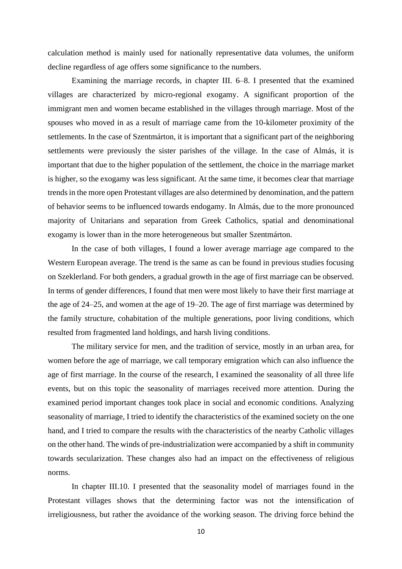calculation method is mainly used for nationally representative data volumes, the uniform decline regardless of age offers some significance to the numbers.

Examining the marriage records, in chapter III. 6–8. I presented that the examined villages are characterized by micro-regional exogamy. A significant proportion of the immigrant men and women became established in the villages through marriage. Most of the spouses who moved in as a result of marriage came from the 10-kilometer proximity of the settlements. In the case of Szentmárton, it is important that a significant part of the neighboring settlements were previously the sister parishes of the village. In the case of Almás, it is important that due to the higher population of the settlement, the choice in the marriage market is higher, so the exogamy was less significant. At the same time, it becomes clear that marriage trends in the more open Protestant villages are also determined by denomination, and the pattern of behavior seems to be influenced towards endogamy. In Almás, due to the more pronounced majority of Unitarians and separation from Greek Catholics, spatial and denominational exogamy is lower than in the more heterogeneous but smaller Szentmárton.

In the case of both villages, I found a lower average marriage age compared to the Western European average. The trend is the same as can be found in previous studies focusing on Szeklerland. For both genders, a gradual growth in the age of first marriage can be observed. In terms of gender differences, I found that men were most likely to have their first marriage at the age of 24–25, and women at the age of 19–20. The age of first marriage was determined by the family structure, cohabitation of the multiple generations, poor living conditions, which resulted from fragmented land holdings, and harsh living conditions.

The military service for men, and the tradition of service, mostly in an urban area, for women before the age of marriage, we call temporary emigration which can also influence the age of first marriage. In the course of the research, I examined the seasonality of all three life events, but on this topic the seasonality of marriages received more attention. During the examined period important changes took place in social and economic conditions. Analyzing seasonality of marriage, I tried to identify the characteristics of the examined society on the one hand, and I tried to compare the results with the characteristics of the nearby Catholic villages on the other hand. The winds of pre-industrialization were accompanied by a shift in community towards secularization. These changes also had an impact on the effectiveness of religious norms.

In chapter III.10. I presented that the seasonality model of marriages found in the Protestant villages shows that the determining factor was not the intensification of irreligiousness, but rather the avoidance of the working season. The driving force behind the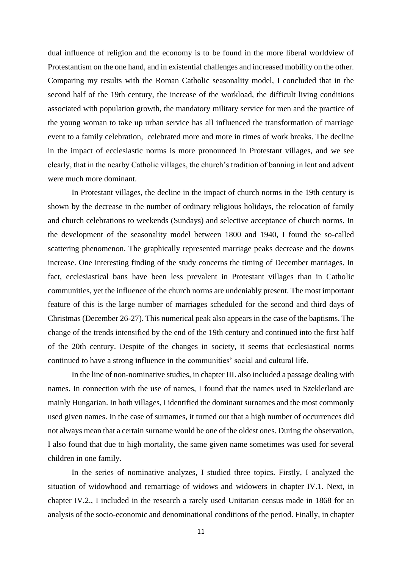dual influence of religion and the economy is to be found in the more liberal worldview of Protestantism on the one hand, and in existential challenges and increased mobility on the other. Comparing my results with the Roman Catholic seasonality model, I concluded that in the second half of the 19th century, the increase of the workload, the difficult living conditions associated with population growth, the mandatory military service for men and the practice of the young woman to take up urban service has all influenced the transformation of marriage event to a family celebration, celebrated more and more in times of work breaks. The decline in the impact of ecclesiastic norms is more pronounced in Protestant villages, and we see clearly, that in the nearby Catholic villages, the church's tradition of banning in lent and advent were much more dominant.

In Protestant villages, the decline in the impact of church norms in the 19th century is shown by the decrease in the number of ordinary religious holidays, the relocation of family and church celebrations to weekends (Sundays) and selective acceptance of church norms. In the development of the seasonality model between 1800 and 1940, I found the so-called scattering phenomenon. The graphically represented marriage peaks decrease and the downs increase. One interesting finding of the study concerns the timing of December marriages. In fact, ecclesiastical bans have been less prevalent in Protestant villages than in Catholic communities, yet the influence of the church norms are undeniably present. The most important feature of this is the large number of marriages scheduled for the second and third days of Christmas (December 26-27). This numerical peak also appears in the case of the baptisms. The change of the trends intensified by the end of the 19th century and continued into the first half of the 20th century. Despite of the changes in society, it seems that ecclesiastical norms continued to have a strong influence in the communities' social and cultural life.

In the line of non-nominative studies, in chapter III. also included a passage dealing with names. In connection with the use of names, I found that the names used in Szeklerland are mainly Hungarian. In both villages, I identified the dominant surnames and the most commonly used given names. In the case of surnames, it turned out that a high number of occurrences did not always mean that a certain surname would be one of the oldest ones. During the observation, I also found that due to high mortality, the same given name sometimes was used for several children in one family.

In the series of nominative analyzes, I studied three topics. Firstly, I analyzed the situation of widowhood and remarriage of widows and widowers in chapter IV.1. Next, in chapter IV.2., I included in the research a rarely used Unitarian census made in 1868 for an analysis of the socio-economic and denominational conditions of the period. Finally, in chapter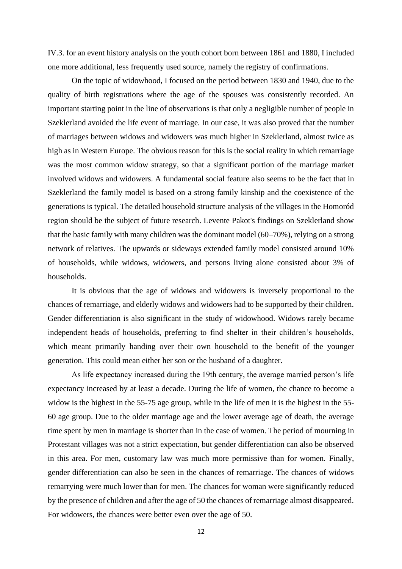IV.3. for an event history analysis on the youth cohort born between 1861 and 1880, I included one more additional, less frequently used source, namely the registry of confirmations.

On the topic of widowhood, I focused on the period between 1830 and 1940, due to the quality of birth registrations where the age of the spouses was consistently recorded. An important starting point in the line of observations is that only a negligible number of people in Szeklerland avoided the life event of marriage. In our case, it was also proved that the number of marriages between widows and widowers was much higher in Szeklerland, almost twice as high as in Western Europe. The obvious reason for this is the social reality in which remarriage was the most common widow strategy, so that a significant portion of the marriage market involved widows and widowers. A fundamental social feature also seems to be the fact that in Szeklerland the family model is based on a strong family kinship and the coexistence of the generations is typical. The detailed household structure analysis of the villages in the Homoród region should be the subject of future research. Levente Pakot's findings on Szeklerland show that the basic family with many children was the dominant model (60–70%), relying on a strong network of relatives. The upwards or sideways extended family model consisted around 10% of households, while widows, widowers, and persons living alone consisted about 3% of households.

It is obvious that the age of widows and widowers is inversely proportional to the chances of remarriage, and elderly widows and widowers had to be supported by their children. Gender differentiation is also significant in the study of widowhood. Widows rarely became independent heads of households, preferring to find shelter in their children's households, which meant primarily handing over their own household to the benefit of the younger generation. This could mean either her son or the husband of a daughter.

As life expectancy increased during the 19th century, the average married person's life expectancy increased by at least a decade. During the life of women, the chance to become a widow is the highest in the 55-75 age group, while in the life of men it is the highest in the 55- 60 age group. Due to the older marriage age and the lower average age of death, the average time spent by men in marriage is shorter than in the case of women. The period of mourning in Protestant villages was not a strict expectation, but gender differentiation can also be observed in this area. For men, customary law was much more permissive than for women. Finally, gender differentiation can also be seen in the chances of remarriage. The chances of widows remarrying were much lower than for men. The chances for woman were significantly reduced by the presence of children and after the age of 50 the chances of remarriage almost disappeared. For widowers, the chances were better even over the age of 50.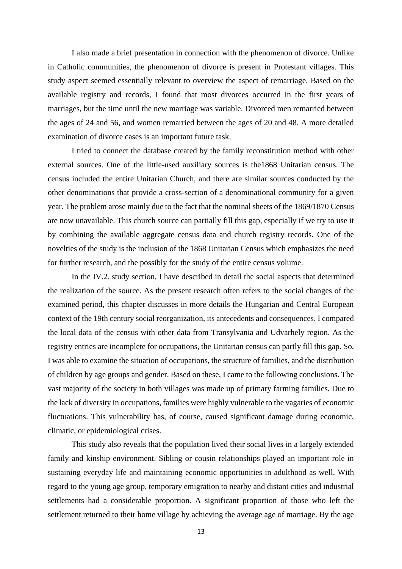I also made a brief presentation in connection with the phenomenon of divorce. Unlike in Catholic communities, the phenomenon of divorce is present in Protestant villages. This study aspect seemed essentially relevant to overview the aspect of remarriage. Based on the available registry and records, I found that most divorces occurred in the first years of marriages, but the time until the new marriage was variable. Divorced men remarried between the ages of 24 and 56, and women remarried between the ages of 20 and 48. A more detailed examination of divorce cases is an important future task.

I tried to connect the database created by the family reconstitution method with other external sources. One of the little-used auxiliary sources is the1868 Unitarian census. The census included the entire Unitarian Church, and there are similar sources conducted by the other denominations that provide a cross-section of a denominational community for a given year. The problem arose mainly due to the fact that the nominal sheets of the 1869/1870 Census are now unavailable. This church source can partially fill this gap, especially if we try to use it by combining the available aggregate census data and church registry records. One of the novelties of the study is the inclusion of the 1868 Unitarian Census which emphasizes the need for further research, and the possibly for the study of the entire census volume.

In the IV.2. study section, I have described in detail the social aspects that determined the realization of the source. As the present research often refers to the social changes of the examined period, this chapter discusses in more details the Hungarian and Central European context of the 19th century social reorganization, its antecedents and consequences. I compared the local data of the census with other data from Transylvania and Udvarhely region. As the registry entries are incomplete for occupations, the Unitarian census can partly fill this gap. So, I was able to examine the situation of occupations, the structure of families, and the distribution of children by age groups and gender. Based on these, I came to the following conclusions. The vast majority of the society in both villages was made up of primary farming families. Due to the lack of diversity in occupations, families were highly vulnerable to the vagaries of economic fluctuations. This vulnerability has, of course, caused significant damage during economic, climatic, or epidemiological crises.

This study also reveals that the population lived their social lives in a largely extended family and kinship environment. Sibling or cousin relationships played an important role in sustaining everyday life and maintaining economic opportunities in adulthood as well. With regard to the young age group, temporary emigration to nearby and distant cities and industrial settlements had a considerable proportion. A significant proportion of those who left the settlement returned to their home village by achieving the average age of marriage. By the age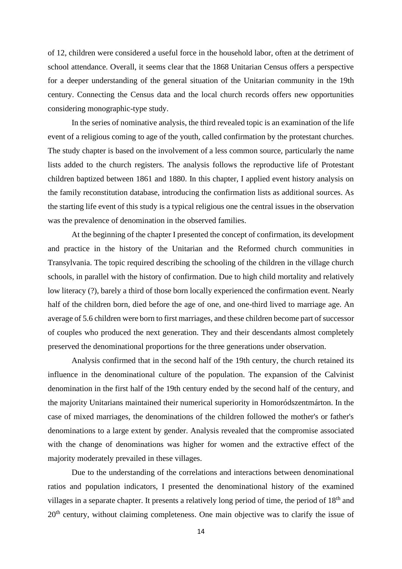of 12, children were considered a useful force in the household labor, often at the detriment of school attendance. Overall, it seems clear that the 1868 Unitarian Census offers a perspective for a deeper understanding of the general situation of the Unitarian community in the 19th century. Connecting the Census data and the local church records offers new opportunities considering monographic-type study.

In the series of nominative analysis, the third revealed topic is an examination of the life event of a religious coming to age of the youth, called confirmation by the protestant churches. The study chapter is based on the involvement of a less common source, particularly the name lists added to the church registers. The analysis follows the reproductive life of Protestant children baptized between 1861 and 1880. In this chapter, I applied event history analysis on the family reconstitution database, introducing the confirmation lists as additional sources. As the starting life event of this study is a typical religious one the central issues in the observation was the prevalence of denomination in the observed families.

At the beginning of the chapter I presented the concept of confirmation, its development and practice in the history of the Unitarian and the Reformed church communities in Transylvania. The topic required describing the schooling of the children in the village church schools, in parallel with the history of confirmation. Due to high child mortality and relatively low literacy (?), barely a third of those born locally experienced the confirmation event. Nearly half of the children born, died before the age of one, and one-third lived to marriage age. An average of 5.6 children were born to first marriages, and these children become part of successor of couples who produced the next generation. They and their descendants almost completely preserved the denominational proportions for the three generations under observation.

Analysis confirmed that in the second half of the 19th century, the church retained its influence in the denominational culture of the population. The expansion of the Calvinist denomination in the first half of the 19th century ended by the second half of the century, and the majority Unitarians maintained their numerical superiority in Homoródszentmárton. In the case of mixed marriages, the denominations of the children followed the mother's or father's denominations to a large extent by gender. Analysis revealed that the compromise associated with the change of denominations was higher for women and the extractive effect of the majority moderately prevailed in these villages.

Due to the understanding of the correlations and interactions between denominational ratios and population indicators, I presented the denominational history of the examined villages in a separate chapter. It presents a relatively long period of time, the period of  $18<sup>th</sup>$  and 20<sup>th</sup> century, without claiming completeness. One main objective was to clarify the issue of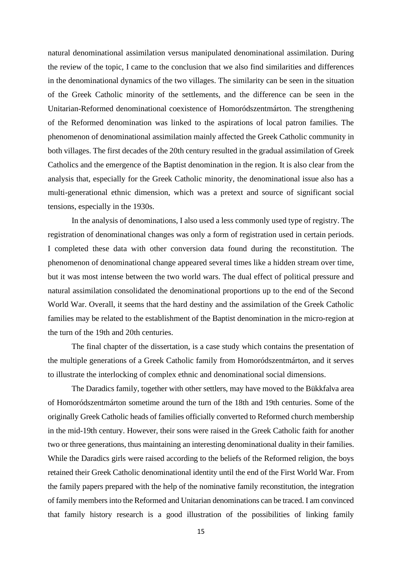natural denominational assimilation versus manipulated denominational assimilation. During the review of the topic, I came to the conclusion that we also find similarities and differences in the denominational dynamics of the two villages. The similarity can be seen in the situation of the Greek Catholic minority of the settlements, and the difference can be seen in the Unitarian-Reformed denominational coexistence of Homoródszentmárton. The strengthening of the Reformed denomination was linked to the aspirations of local patron families. The phenomenon of denominational assimilation mainly affected the Greek Catholic community in both villages. The first decades of the 20th century resulted in the gradual assimilation of Greek Catholics and the emergence of the Baptist denomination in the region. It is also clear from the analysis that, especially for the Greek Catholic minority, the denominational issue also has a multi-generational ethnic dimension, which was a pretext and source of significant social tensions, especially in the 1930s.

In the analysis of denominations, I also used a less commonly used type of registry. The registration of denominational changes was only a form of registration used in certain periods. I completed these data with other conversion data found during the reconstitution. The phenomenon of denominational change appeared several times like a hidden stream over time, but it was most intense between the two world wars. The dual effect of political pressure and natural assimilation consolidated the denominational proportions up to the end of the Second World War. Overall, it seems that the hard destiny and the assimilation of the Greek Catholic families may be related to the establishment of the Baptist denomination in the micro-region at the turn of the 19th and 20th centuries.

The final chapter of the dissertation, is a case study which contains the presentation of the multiple generations of a Greek Catholic family from Homoródszentmárton, and it serves to illustrate the interlocking of complex ethnic and denominational social dimensions.

The Daradics family, together with other settlers, may have moved to the Bükkfalva area of Homoródszentmárton sometime around the turn of the 18th and 19th centuries. Some of the originally Greek Catholic heads of families officially converted to Reformed church membership in the mid-19th century. However, their sons were raised in the Greek Catholic faith for another two or three generations, thus maintaining an interesting denominational duality in their families. While the Daradics girls were raised according to the beliefs of the Reformed religion, the boys retained their Greek Catholic denominational identity until the end of the First World War. From the family papers prepared with the help of the nominative family reconstitution, the integration of family members into the Reformed and Unitarian denominations can be traced. I am convinced that family history research is a good illustration of the possibilities of linking family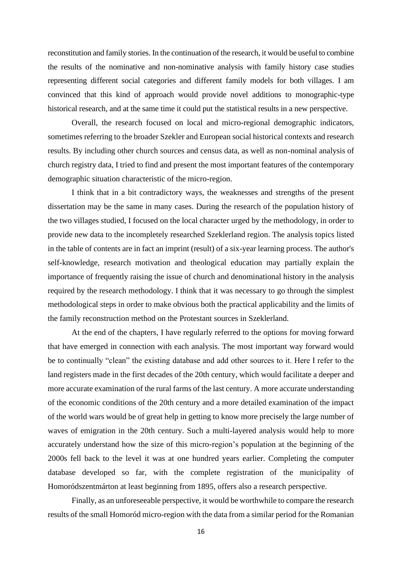reconstitution and family stories. In the continuation of the research, it would be useful to combine the results of the nominative and non-nominative analysis with family history case studies representing different social categories and different family models for both villages. I am convinced that this kind of approach would provide novel additions to monographic-type historical research, and at the same time it could put the statistical results in a new perspective.

Overall, the research focused on local and micro-regional demographic indicators, sometimes referring to the broader Szekler and European social historical contexts and research results. By including other church sources and census data, as well as non-nominal analysis of church registry data, I tried to find and present the most important features of the contemporary demographic situation characteristic of the micro-region.

I think that in a bit contradictory ways, the weaknesses and strengths of the present dissertation may be the same in many cases. During the research of the population history of the two villages studied, I focused on the local character urged by the methodology, in order to provide new data to the incompletely researched Szeklerland region. The analysis topics listed in the table of contents are in fact an imprint (result) of a six-year learning process. The author's self-knowledge, research motivation and theological education may partially explain the importance of frequently raising the issue of church and denominational history in the analysis required by the research methodology. I think that it was necessary to go through the simplest methodological steps in order to make obvious both the practical applicability and the limits of the family reconstruction method on the Protestant sources in Szeklerland.

At the end of the chapters, I have regularly referred to the options for moving forward that have emerged in connection with each analysis. The most important way forward would be to continually "clean" the existing database and add other sources to it. Here I refer to the land registers made in the first decades of the 20th century, which would facilitate a deeper and more accurate examination of the rural farms of the last century. A more accurate understanding of the economic conditions of the 20th century and a more detailed examination of the impact of the world wars would be of great help in getting to know more precisely the large number of waves of emigration in the 20th century. Such a multi-layered analysis would help to more accurately understand how the size of this micro-region's population at the beginning of the 2000s fell back to the level it was at one hundred years earlier. Completing the computer database developed so far, with the complete registration of the municipality of Homoródszentmárton at least beginning from 1895, offers also a research perspective.

Finally, as an unforeseeable perspective, it would be worthwhile to compare the research results of the small Homoród micro-region with the data from a similar period for the Romanian